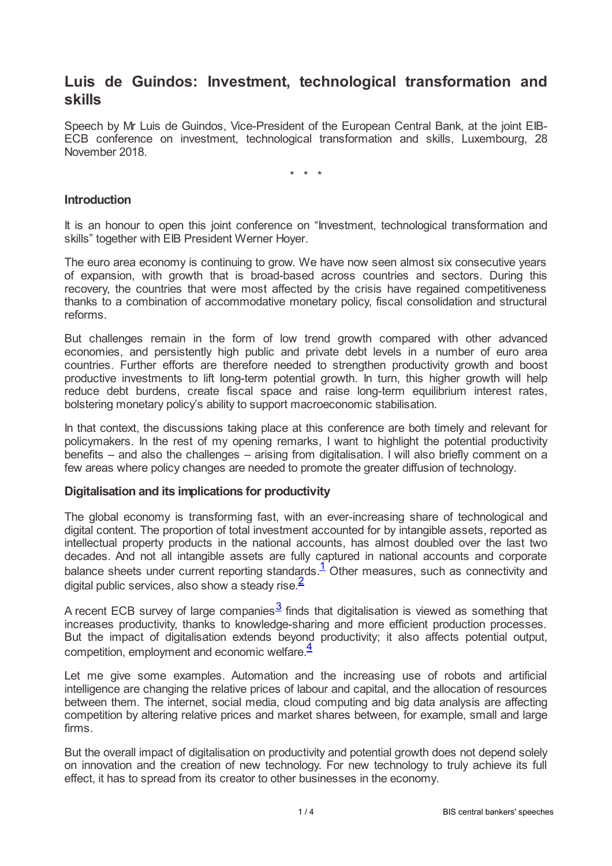# **Luis de Guindos: Investment, technological transformation and skills**

Speech by Mr Luis de Guindos, Vice-President of the European Central Bank, at the joint EIB-ECB conference on investment, technological transformation and skills, Luxembourg, 28 November 2018.

\* \* \*

## **Introduction**

It is an honour to open this joint conference on "Investment, technological transformation and skills" together with EIB President Werner Hoyer.

The euro area economy is continuing to grow. We have now seen almost six consecutive years of expansion, with growth that is broad-based across countries and sectors. During this recovery, the countries that were most affected by the crisis have regained competitiveness thanks to a combination of accommodative monetary policy, fiscal consolidation and structural reforms.

But challenges remain in the form of low trend growth compared with other advanced economies, and persistently high public and private debt levels in a number of euro area countries. Further efforts are therefore needed to strengthen productivity growth and boost productive investments to lift long-term potential growth. In turn, this higher growth will help reduce debt burdens, create fiscal space and raise long-term equilibrium interest rates, bolstering monetary policy's ability to support macroeconomic stabilisation.

In that context, the discussions taking place at this conference are both timely and relevant for policymakers. In the rest of my opening remarks, I want to highlight the potential productivity benefits – and also the challenges – arising from digitalisation. I will also briefly comment on a few areas where policy changes are needed to promote the greater diffusion of technology.

## **Digitalisation and its implications for productivity**

The global economy is transforming fast, with an ever-increasing share of technological and digital content. The proportion of total investment accounted for by intangible assets, reported as intellectual property products in the national accounts, has almost doubled over the last two decades. And not all intangible assets are fully captured in national accounts and corporate balance sheets under current reporting standards.<sup>[1](#page-2-0)</sup> Other measures, such as connectivity and digital public services, also show a steady rise.<sup>[2](#page-2-1)</sup>

<span id="page-0-2"></span><span id="page-0-1"></span><span id="page-0-0"></span>A recent ECB survey of large companies $^{\overline{3}}$  $^{\overline{3}}$  $^{\overline{3}}$  finds that digitalisation is viewed as something that increases productivity, thanks to knowledge-sharing and more efficient production processes. But the impact of digitalisation extends beyond productivity; it also affects potential output, competition, employment and economic welfare. [4](#page-2-3)

<span id="page-0-3"></span>Let me give some examples. Automation and the increasing use of robots and artificial intelligence are changing the relative prices of labour and capital, and the allocation of resources between them. The internet, social media, cloud computing and big data analysis are affecting competition by altering relative prices and market shares between, for example, small and large firms.

But the overall impact of digitalisation on productivity and potential growth does not depend solely on innovation and the creation of new technology. For new technology to truly achieve its full effect, it has to spread from its creator to other businesses in the economy.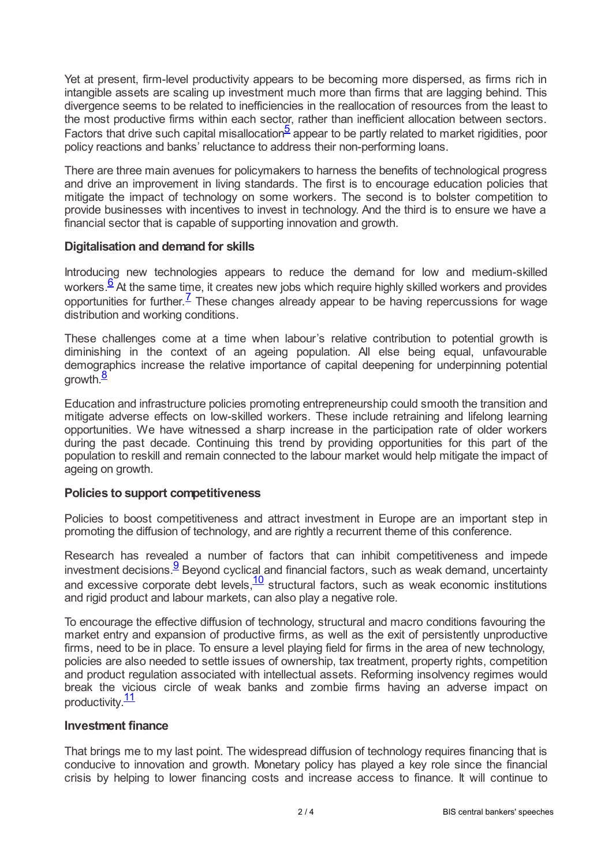Yet at present, firm-level productivity appears to be becoming more dispersed, as firms rich in intangible assets are scaling up investment much more than firms that are lagging behind. This divergence seems to be related to inefficiencies in the reallocation of resources from the least to the most productive firms within each sector, rather than inefficient allocation between sectors. Factors that drive such capital misallocation<sup>[5](#page-2-4)</sup> appear to be partly related to market rigidities, poor policy reactions and banks' reluctance to address their non-performing loans.

<span id="page-1-0"></span>There are three main avenues for policymakers to harness the benefits of technological progress and drive an improvement in living standards. The first is to encourage education policies that mitigate the impact of technology on some workers. The second is to bolster competition to provide businesses with incentives to invest in technology. And the third is to ensure we have a financial sector that is capable of supporting innovation and growth.

## **Digitalisation and demand for skills**

<span id="page-1-2"></span><span id="page-1-1"></span>Introducing new technologies appears to reduce the demand for low and medium-skilled workers. $\frac{6}{5}$  $\frac{6}{5}$  $\frac{6}{5}$  At the same time, it creates new jobs which require highly skilled workers and provides opportunities for further.<sup> $7$ </sup> These changes already appear to be having repercussions for wage distribution and working conditions.

These challenges come at a time when labour's relative contribution to potential growth is diminishing in the context of an ageing population. All else being equal, unfavourable demographics increase the relative importance of capital deepening for underpinning potential growth.<sup>[8](#page-2-7)</sup>

<span id="page-1-3"></span>Education and infrastructure policies promoting entrepreneurship could smooth the transition and mitigate adverse effects on low-skilled workers. These include retraining and lifelong learning opportunities. We have witnessed a sharp increase in the participation rate of older workers during the past decade. Continuing this trend by providing opportunities for this part of the population to reskill and remain connected to the labour market would help mitigate the impact of ageing on growth.

# **Policies to support competitiveness**

Policies to boost competitiveness and attract investment in Europe are an important step in promoting the diffusion of technology, and are rightly a recurrent theme of this conference.

<span id="page-1-5"></span><span id="page-1-4"></span>Research has revealed a number of factors that can inhibit competitiveness and impede investment decisions. $\frac{9}{5}$  $\frac{9}{5}$  $\frac{9}{5}$ Beyond cyclical and financial factors, such as weak demand, uncertainty and excessive corporate debt levels, $\frac{10}{10}$  $\frac{10}{10}$  $\frac{10}{10}$  structural factors, such as weak economic institutions and rigid product and labour markets, can also play a negative role.

To encourage the effective diffusion of technology, structural and macro conditions favouring the market entry and expansion of productive firms, as well as the exit of persistently unproductive firms, need to be in place. To ensure a level playing field for firms in the area of new technology, policies are also needed to settle issues of ownership, tax treatment, property rights, competition and product regulation associated with intellectual assets. Reforming insolvency regimes would break the vicious circle of weak banks and zombie firms having an adverse impact on productivity.<sup>[11](#page-3-2)</sup>

## <span id="page-1-6"></span>**Investment finance**

That brings me to my last point. The widespread diffusion of technology requires financing that is conducive to innovation and growth. Monetary policy has played a key role since the financial crisis by helping to lower financing costs and increase access to finance. It will continue to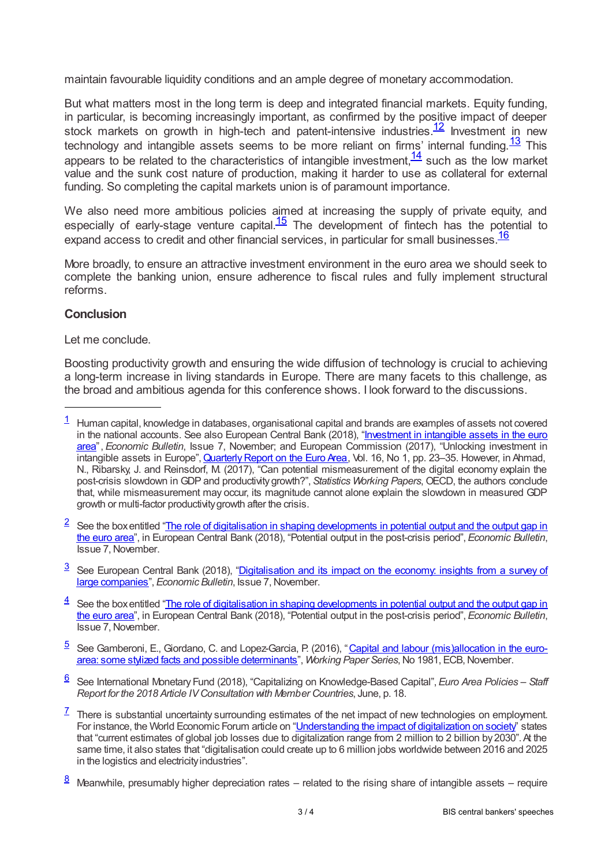maintain favourable liquidity conditions and an ample degree of monetary accommodation.

<span id="page-2-9"></span><span id="page-2-8"></span>But what matters most in the long term is deep and integrated financial markets. Equity funding, in particular, is becoming increasingly important, as confirmed by the positive impact of deeper stock markets on growth in high-tech and patent-intensive industries.  $\frac{12}{1}$  $\frac{12}{1}$  $\frac{12}{1}$  Investment in new technology and intangible assets seems to be more reliant on firms' internal funding. $\frac{13}{1}$  $\frac{13}{1}$  $\frac{13}{1}$  This appears to be related to the characteristics of intangible investment,  $\frac{14}{1}$  $\frac{14}{1}$  $\frac{14}{1}$  such as the low market value and the sunk cost nature of production, making it harder to use as collateral for external funding. So completing the capital markets union is of paramount importance.

<span id="page-2-11"></span><span id="page-2-10"></span>We also need more ambitious policies aimed at increasing the supply of private equity, and especially of early-stage venture capital. $\frac{15}{15}$  $\frac{15}{15}$  $\frac{15}{15}$  The development of fintech has the potential to expand access to credit and other financial services, in particular for small businesses.  $\frac{16}{16}$  $\frac{16}{16}$  $\frac{16}{16}$ 

<span id="page-2-12"></span>More broadly, to ensure an attractive investment environment in the euro area we should seek to complete the banking union, ensure adherence to fiscal rules and fully implement structural reforms.

# **Conclusion**

Let me conclude.

Boosting productivity growth and ensuring the wide diffusion of technology is crucial to achieving a long-term increase in living standards in Europe. There are many facets to this challenge, as the broad and ambitious agenda for this conference shows. I look forward to the discussions.

<span id="page-2-2"></span> $3$  See European Central Bank (2018), ["Digitalisation](www.ecb.europa.eu/pub/economic-bulletin/focus/2018/html/ecb.ebbox201807_04.en.html) and its impact on the economy: insights from a survey of large companies", *Economic Bulletin*, Issue 7,November.

- <span id="page-2-3"></span> $\frac{4}{3}$  $\frac{4}{3}$  $\frac{4}{3}$  See the box entitled "The role of digitalisation in shaping [developments](www.ecb.europa.eu/pub/economic-bulletin/articles/2018/html/ecb.ebart201807_01.en.html#toc9) in potential output and the output gap in the euro area", in European Central Bank (2018), "Potential output in the post-crisis period", *Economic Bulletin*, Issue 7, November.
- <span id="page-2-4"></span>[5](#page-1-0) See Gamberoni, E., Giordano, C. and Lopez-Garcia, P. (2016), "Capital and labour (mis)allocation in the euroarea: some stylized facts and possible determinants", *Working Paper Series*,No 1981, [ECB,November.](www.ecb.europa.eu/pub/pdf/scpwps/ecbwp1981.en.pdf)

<span id="page-2-5"></span>See International Monetary Fund (2018), "Capitalizing on Knowledge-Based Capital", *Euro Area Policies – Staff* [6](#page-1-1) *Report for the 2018 Article IVConsultation with Member Countries*, June, p. 18.

- <span id="page-2-6"></span> $^{\mathsf{Z}}$  There is substantial uncertainty surrounding estimates of the net impact of new technologies on employment. For instance, the World Economic Forum article on ["Understanding](reports.weforum.org/digital-transformation/understanding-the-impact-of-digitalization-on-society/) the impact of digitalization on society" states that "current estimates of global job losses due to digitalization range from 2 million to 2 billion by 2030". At the same time, it also states that "digitalisation could create up to 6 million jobs worldwide between 2016 and 2025 in the logistics and electricityindustries".
- <span id="page-2-7"></span>Meanwhile, presumably higher depreciation rates – related to the rising share of intangible assets – require [8](#page-1-3)

<span id="page-2-0"></span> $1$  Human capital, knowledge in databases, organisational capital and brands are examples of assets not covered in the national accounts. See also European Central Bank (2018), "Investment in intangible assets in the euro area", *Economic Bulletin*, Issue 7, November; and European [Commission](www.ecb.europa.eu/pub/economic-bulletin/focus/2018/html/ecb.ebbox201807_03.en.html) (2017), "Unlocking investment in intangible assets in Europe", Quarterly Report on the Euro Area, Vol. 16, No 1, pp. 23–35. However, in Ahmad, N., Ribarsky, J. and Reinsdorf, M. (2017), "Can potential mismeasurement of the digital economy explain the post-crisis slowdown in GDP and productivitygrowth?", *Statistics Working Papers*, OECD, the authors conclude that, while mismeasurement may occur, its magnitude cannot alone explain the slowdown in measured GDP growth or multi-factor productivitygrowth after the crisis.

<span id="page-2-1"></span> $2$  See the box entitled "The role of digitalisation in shaping [developments](www.ecb.europa.eu/pub/economic-bulletin/articles/2018/html/ecb.ebart201807_01.en.html#toc9) in potential output and the output gap in the euro area", in European Central Bank (2018), "Potential output in the post-crisis period", *Economic Bulletin*, Issue 7,November.